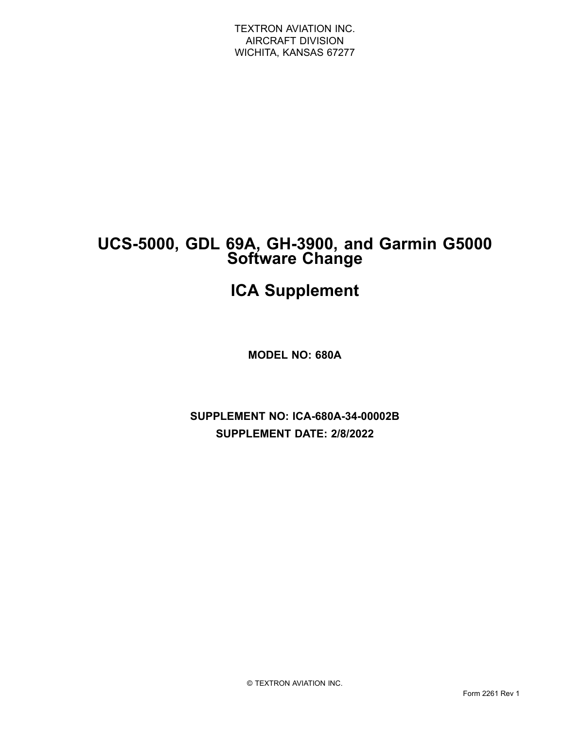# **UCS-5000, GDL 69A, GH-3900, and Garmin G5000 Software Change**

# **ICA Supplement**

**MODEL NO: 680A**

**SUPPLEMENT NO: ICA-680A-34-00002B SUPPLEMENT DATE: 2/8/2022**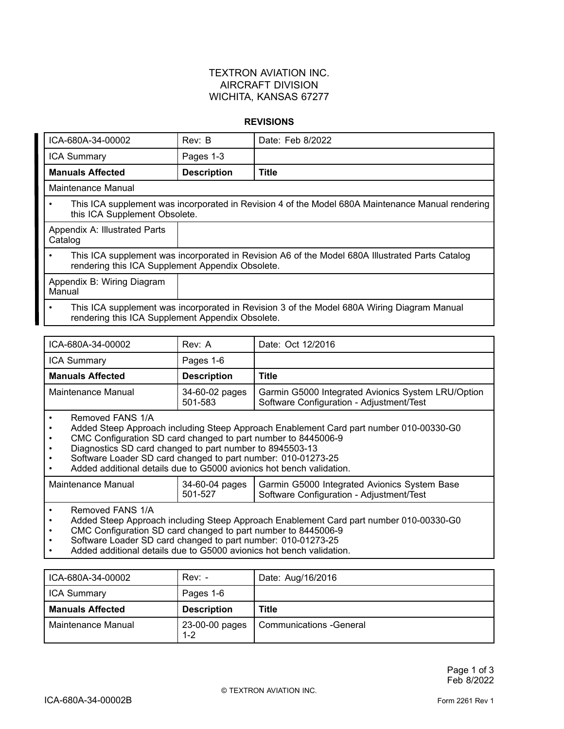#### **REVISIONS**

| ICA-680A-34-00002                                                                                                                                   | Rev: B             | Date: Feb 8/2022 |
|-----------------------------------------------------------------------------------------------------------------------------------------------------|--------------------|------------------|
| <b>ICA Summary</b>                                                                                                                                  | Pages 1-3          |                  |
| <b>Manuals Affected</b>                                                                                                                             | <b>Description</b> | <b>Title</b>     |
| Maintenance Manual                                                                                                                                  |                    |                  |
| This ICA supplement was incorporated in Revision 4 of the Model 680A Maintenance Manual rendering<br>this ICA Supplement Obsolete.                  |                    |                  |
| Appendix A: Illustrated Parts<br>Catalog                                                                                                            |                    |                  |
| This ICA supplement was incorporated in Revision A6 of the Model 680A Illustrated Parts Catalog<br>rendering this ICA Supplement Appendix Obsolete. |                    |                  |
| Appendix B: Wiring Diagram<br>Manual                                                                                                                |                    |                  |
| This ICA supplement was incorporated in Revision 3 of the Model 680A Wiring Diagram Manual<br>rendering this ICA Supplement Appendix Obsolete.      |                    |                  |

| ICA-680A-34-00002       | Rev: A             | Date: Oct 12/2016 |
|-------------------------|--------------------|-------------------|
| <b>ICA Summary</b>      | Pages 1-6          |                   |
|                         |                    |                   |
| <b>Manuals Affected</b> | <b>Description</b> | <b>Title</b>      |

•Removed FANS 1/A

•Added Steep Approach including Steep Approach Enablement Card part number 010-00330-G0

- •CMC Configuration SD card changed to part number to 8445006-9
- •Diagnostics SD card changed to part number to 8945503-13
- •Software Loader SD card changed to part number: 010-01273-25
- •Added additional details due to G5000 avionics hot bench validation.

| 34-60-04 pages   Garmin G5000 Integrated Avionics System Base<br>l Maintenance Manual<br>501-527<br>Software Configuration - Adjustment/Test |  |  |  |
|----------------------------------------------------------------------------------------------------------------------------------------------|--|--|--|
|----------------------------------------------------------------------------------------------------------------------------------------------|--|--|--|

•Removed FANS 1/A

•Added Steep Approach including Steep Approach Enablement Card part number 010-00330-G0

•CMC Configuration SD card changed to part number to 8445006-9

•Software Loader SD card changed to part number: 010-01273-25

•Added additional details due to G5000 avionics hot bench validation.

| ICA-680A-34-00002       | $Rev: -$           | Date: Aug/16/2016 |
|-------------------------|--------------------|-------------------|
| <b>ICA Summary</b>      | Pages 1-6          |                   |
|                         |                    |                   |
| <b>Manuals Affected</b> | <b>Description</b> | <b>Title</b>      |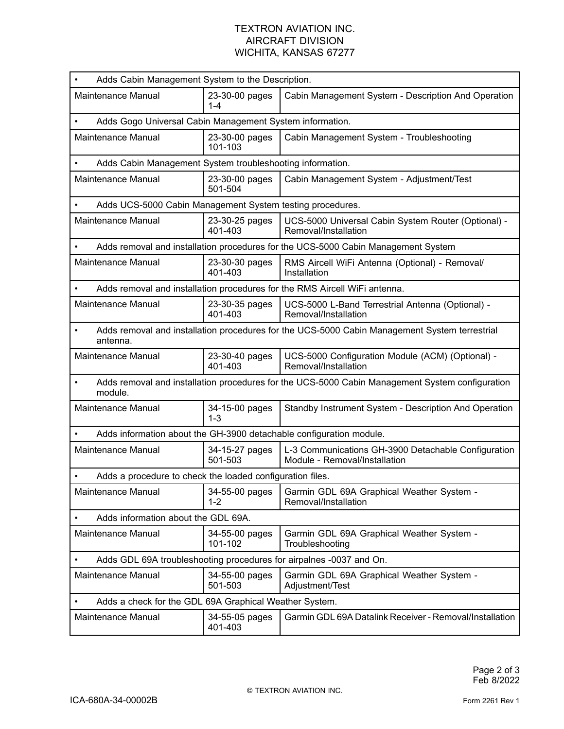| Adds Cabin Management System to the Description.                                                                       |                                                                                                            |                           |                                                                                      |
|------------------------------------------------------------------------------------------------------------------------|------------------------------------------------------------------------------------------------------------|---------------------------|--------------------------------------------------------------------------------------|
| Maintenance Manual                                                                                                     |                                                                                                            | 23-30-00 pages<br>1-4     | Cabin Management System - Description And Operation                                  |
| Adds Gogo Universal Cabin Management System information.<br>$\bullet$                                                  |                                                                                                            |                           |                                                                                      |
| Maintenance Manual                                                                                                     |                                                                                                            | 23-30-00 pages<br>101-103 | Cabin Management System - Troubleshooting                                            |
| $\bullet$                                                                                                              | Adds Cabin Management System troubleshooting information.                                                  |                           |                                                                                      |
| Maintenance Manual                                                                                                     |                                                                                                            | 23-30-00 pages<br>501-504 | Cabin Management System - Adjustment/Test                                            |
|                                                                                                                        | Adds UCS-5000 Cabin Management System testing procedures.                                                  |                           |                                                                                      |
| Maintenance Manual                                                                                                     |                                                                                                            | 23-30-25 pages<br>401-403 | UCS-5000 Universal Cabin System Router (Optional) -<br>Removal/Installation          |
|                                                                                                                        |                                                                                                            |                           | Adds removal and installation procedures for the UCS-5000 Cabin Management System    |
| Maintenance Manual                                                                                                     |                                                                                                            | 23-30-30 pages<br>401-403 | RMS Aircell WiFi Antenna (Optional) - Removal/<br>Installation                       |
|                                                                                                                        |                                                                                                            |                           | Adds removal and installation procedures for the RMS Aircell WiFi antenna.           |
| Maintenance Manual                                                                                                     |                                                                                                            | 23-30-35 pages<br>401-403 | UCS-5000 L-Band Terrestrial Antenna (Optional) -<br>Removal/Installation             |
| Adds removal and installation procedures for the UCS-5000 Cabin Management System terrestrial<br>$\bullet$<br>antenna. |                                                                                                            |                           |                                                                                      |
| Maintenance Manual                                                                                                     |                                                                                                            | 23-30-40 pages<br>401-403 | UCS-5000 Configuration Module (ACM) (Optional) -<br>Removal/Installation             |
| $\bullet$                                                                                                              | Adds removal and installation procedures for the UCS-5000 Cabin Management System configuration<br>module. |                           |                                                                                      |
| <b>Maintenance Manual</b>                                                                                              |                                                                                                            | 34-15-00 pages<br>$1 - 3$ | Standby Instrument System - Description And Operation                                |
|                                                                                                                        | Adds information about the GH-3900 detachable configuration module.                                        |                           |                                                                                      |
| Maintenance Manual                                                                                                     |                                                                                                            | 34-15-27 pages<br>501-503 | L-3 Communications GH-3900 Detachable Configuration<br>Module - Removal/Installation |
|                                                                                                                        | Adds a procedure to check the loaded configuration files.                                                  |                           |                                                                                      |
| Maintenance Manual                                                                                                     |                                                                                                            | 34-55-00 pages<br>1-2     | Garmin GDL 69A Graphical Weather System -<br>Removal/Installation                    |
|                                                                                                                        | Adds information about the GDL 69A.                                                                        |                           |                                                                                      |
| Maintenance Manual                                                                                                     |                                                                                                            | 34-55-00 pages<br>101-102 | Garmin GDL 69A Graphical Weather System -<br>Troubleshooting                         |
|                                                                                                                        |                                                                                                            |                           | Adds GDL 69A troubleshooting procedures for airpalnes -0037 and On.                  |
| Maintenance Manual                                                                                                     |                                                                                                            | 34-55-00 pages<br>501-503 | Garmin GDL 69A Graphical Weather System -<br>Adjustment/Test                         |
| $\bullet$                                                                                                              | Adds a check for the GDL 69A Graphical Weather System.                                                     |                           |                                                                                      |
| Maintenance Manual                                                                                                     |                                                                                                            | 34-55-05 pages<br>401-403 | Garmin GDL 69A Datalink Receiver - Removal/Installation                              |
|                                                                                                                        |                                                                                                            |                           |                                                                                      |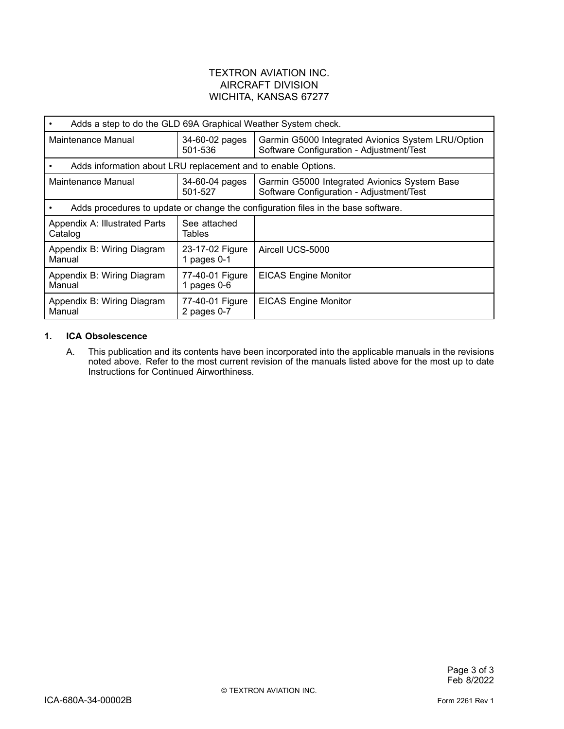| Adds a step to do the GLD 69A Graphical Weather System check.                     |                                  |                                                                                                |
|-----------------------------------------------------------------------------------|----------------------------------|------------------------------------------------------------------------------------------------|
| Maintenance Manual                                                                | 34-60-02 pages<br>501-536        | Garmin G5000 Integrated Avionics System LRU/Option<br>Software Configuration - Adjustment/Test |
| Adds information about LRU replacement and to enable Options.                     |                                  |                                                                                                |
| Maintenance Manual                                                                | 34-60-04 pages<br>501-527        | Garmin G5000 Integrated Avionics System Base<br>Software Configuration - Adjustment/Test       |
| Adds procedures to update or change the configuration files in the base software. |                                  |                                                                                                |
| Appendix A: Illustrated Parts<br>Catalog                                          | See attached<br>Tables           |                                                                                                |
| Appendix B: Wiring Diagram<br>Manual                                              | 23-17-02 Figure<br>1 pages $0-1$ | Aircell UCS-5000                                                                               |
| Appendix B: Wiring Diagram<br>Manual                                              | 77-40-01 Figure<br>1 pages $0-6$ | <b>EICAS Engine Monitor</b>                                                                    |
| Appendix B: Wiring Diagram<br>Manual                                              | 77-40-01 Figure<br>2 pages 0-7   | <b>EICAS Engine Monitor</b>                                                                    |

#### **1. ICA Obsolescence**

A. This publication and its contents have been incorporated into the applicable manuals in the revisions noted above. Refer to the most current revision of the manuals listed above for the most up to date Instructions for Continued Airworthiness.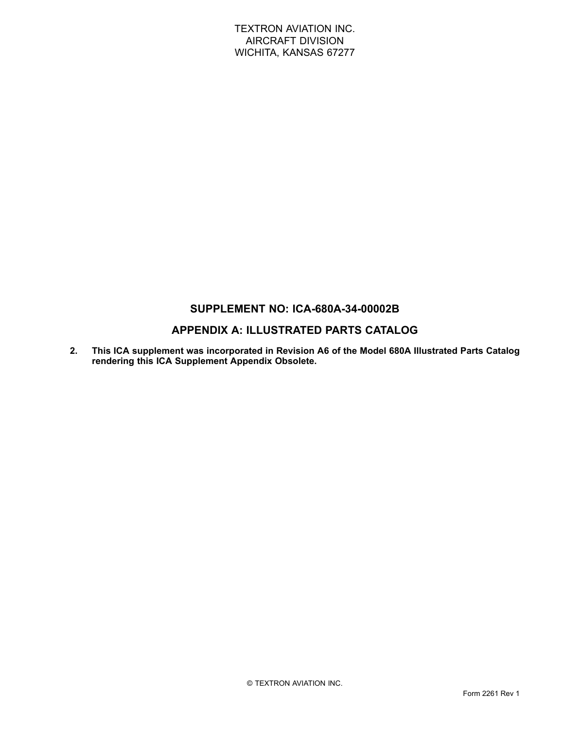## **SUPPLEMENT NO: ICA-680A-34-00002B**

## **APPENDIX A: ILLUSTRATED PARTS CATALOG**

**2. This ICA supplement was incorporated in Revision A6 of the Model 680A Illustrated Parts Catalog rendering this ICA Supplement Appendix Obsolete.**